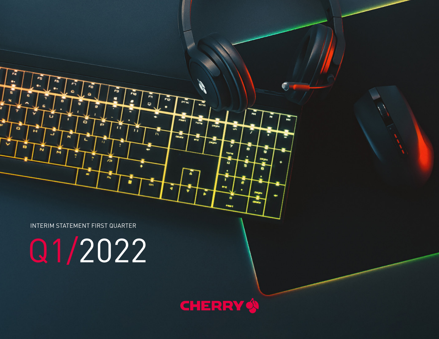INTERIM STATEMENT FIRST QUARTER

۰

£.

 $\overline{1}$ 

 $\overline{\phantom{a}}$ 

 $\epsilon$ 

 $\overline{11}$ 

υ

G

 $\overline{r}$ 

 $\overline{a}$ 

 $\overline{1}$ 

FIR

**PTEC** 

 $\overline{a}$ 

-7

 $\overline{a}$ 

 $\mathbf{m}_0$ 

Q1/2022

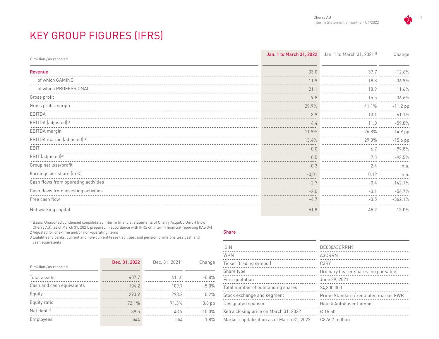# KEY GROUP FIGURES (IFRS)

| $\epsilon$ million / as reported      | Jan. 1 to March 31, 2022 | Jan. 1 to March 31, 2021 <sup>11</sup> | Change     |
|---------------------------------------|--------------------------|----------------------------------------|------------|
| Revenue                               | 33.0                     | 37.7                                   | $-12.6%$   |
| of which GAMING                       | 11.9                     | 18.8                                   | $-36.9%$   |
| of which PROFESSIONAL                 | 21.1                     | 18.9                                   | 11.6%      |
| Gross profit                          | 9.8                      | 15.5                                   | $-36.6%$   |
| Gross profit margin                   | 29.9%                    | 41.1%                                  | $-11.2$ pp |
| EBITDA                                | 3.9                      | 10.1                                   | $-61.1%$   |
| EBITDA (adjusted) <sup>2</sup>        | 4.4                      | 11.0                                   | $-59.8%$   |
| EBITDA margin                         | 11.9%                    | 26.8%                                  | $-14.9$ pp |
| EBITDA margin (adjusted) <sup>2</sup> | 13.4%                    | 29.0%                                  | $-15.6$ pp |
| <b>EBIT</b>                           | 0.0                      | 6.7                                    | $-99.8%$   |
| EBIT (adjusted) <sup>2)</sup>         | 0.5                      | 7.5                                    | $-93.5%$   |
| Group net loss/profit                 | $-0.3$                   | 2.4                                    | n.a.       |
| Earnings per share (in $\epsilon$ )   | $-0,01$                  | 0.12                                   | n.a.       |
| Cash flows from operating activities  | $-2.7$                   | $-0.4$                                 | $-142.1%$  |
| Cash flows from investing activities  | $-2.0$                   | $-3.1$                                 | $-56.7%$   |
| Free cash flow                        | $-4.7$                   | $-3.5$                                 | $-362.1%$  |
| Net working capital                   | 51.8                     | 45.9                                   | 13.0%      |

1 Basis: Unaudited condensed consolidated interim financial statements of Cherry AcquiCo GmbH (now Cherry AG), as of March 31, 2021, prepared in accordance with IFRS on interim financial reporting (IAS 34) 2 Adjusted for one-time and/or non-operating items

3 Liabilities to banks, current and non-current lease liabilities, and pension provisions less cash and cash equivalents

|                                  | Dec. 31, 2022 | Dec. 31, 2021 <sup>1</sup> | Change   |
|----------------------------------|---------------|----------------------------|----------|
| $\epsilon$ million / as reported |               |                            |          |
| Total assets                     | 407.7         | 411.0                      | $-0.8%$  |
| Cash and cash equivalents        | 104.2         | 109.7                      | $-5.0%$  |
| Equity                           | 293.9         | 293.2                      | 0.2%     |
| Equity ratio                     | 72.1%         | 71.3%                      | $0.8$ pp |
| Net debt <sup>31</sup>           | $-39.5$       | $-43.9$                    | $-10.0%$ |
| Employees                        | 544           | 554                        | $-1.8%$  |

#### Share

| <b>ISIN</b>                                | DE000A3CRRN9                          |
|--------------------------------------------|---------------------------------------|
| WKN                                        | A3CRRN                                |
| Ticker (trading symbol)                    | C <sub>3</sub> RY                     |
| Share type                                 | Ordinary bearer shares (no par value) |
| First quotation                            | June 29, 2021                         |
| Total number of outstanding shares         | 24.300.000                            |
| Stock exchange and segment                 | Prime Standard / regulated market FWB |
| Designated sponsor                         | Hauck Aufhäuser Lampe                 |
| Xetra closing price on March 31, 2022      | € 15.50                               |
| Market capitalization as of March 31, 2022 | €376.7 million                        |

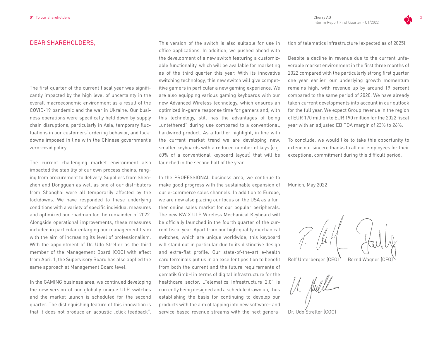#### DEAR SHAREHOLDERS

The first quarter of the current fiscal year was significantly impacted by the high level of uncertainty in the overall macroeconomic environment as a result of the COVID-19 pandemic and the war in Ukraine. Our business operations were specifically held down by supply chain disruptions, particularly in Asia, temporary fluctuations in our customers' ordering behavior, and lockdowns imposed in line with the Chinese government's zero-covid policy.

The current challenging market environment also impacted the stability of our own process chains, ranging from procurement to delivery. Suppliers from Shenzhen and Dongguan as well as one of our distributors from Shanghai were all temporarily affected by the lockdowns. We have responded to these underlying conditions with a variety of specific individual measures and optimized our roadmap for the remainder of 2022. Alongside operational improvements, these measures included in particular enlarging our management team with the aim of increasing its level of professionalism. With the appointment of Dr. Udo Streller as the third member of the Management Board (COO) with effect from April 1, the Supervisory Board has also applied the same approach at Management Board level.

In the GAMING business area, we continued developing the new version of our globally unique ULP switches and the market launch is scheduled for the second quarter. The distinguishing feature of this innovation is that it does not produce an acoustic "click feedback". This version of the switch is also suitable for use in office applications. In addition, we pushed ahead with the development of a new switch featuring a customizable functionality, which will be available for marketing as of the third quarter this year. With its innovative switching technology, this new switch will give competitive gamers in particular a new gaming experience. We are also equipping various gaming keyboards with our new Advanced Wireless technology, which ensures an optimized in-game response time for gamers and, with this technology, still has the advantages of being "untethered" during use compared to a conventional, hardwired product. As a further highlight, in line with the current market trend we are developing new, smaller keyboards with a reduced number of keys (e.g. 60% of a conventional keyboard layout) that will be launched in the second half of the year.

In the PROFESSIONAL business area, we continue to make good progress with the sustainable expansion of our e-commerce sales channels. In addition to Europe, we are now also placing our focus on the USA as a further online sales market for our popular peripherals. The new KW X ULP Wireless Mechanical Keyboard will be officially launched in the fourth quarter of the current fiscal year. Apart from our high-quality mechanical switches, which are unique worldwide, this keyboard will stand out in particular due to its distinctive design and extra-flat profile. Our state-of-the-art e-health card terminals put us in an excellent position to benefit from both the current and the future requirements of gematik GmbH in terms of digital infrastructure for the healthcare sector. "Telematics Infrastructure 2.0" is currently being designed and a schedule drawn up, thus establishing the basis for continuing to develop our products with the aim of tapping into new software- and service-based revenue streams with the next generation of telematics infrastructure (expected as of 2025).

Despite a decline in revenue due to the current unfavorable market environment in the first three months of 2022 compared with the particularly strong first quarter one year earlier, our underlying growth momentum remains high, with revenue up by around 19 percent compared to the same period of 2020. We have already taken current developments into account in our outlook for the full year. We expect Group revenue in the region of EUR 170 million to EUR 190 million for the 2022 fiscal year with an adjusted EBITDA margin of 23% to 26%.

To conclude, we would like to take this opportunity to extend our sincere thanks to all our employees for their exceptional commitment during this difficult period.

#### Munich, May 2022

Rolf Unterberger (CEO) Bernd Wagner (CFO)

1. fuelle

Dr. Udo Streller (COO)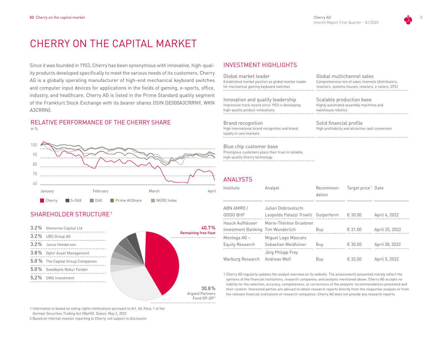## CHERRY ON THE CAPITAL MARKET

Since it was founded in 1953, Cherry has been synonymous with innovative, high-quality products developed specifically to meet the various needs of its customers. Cherry AG is a globally operating manufacturer of high-end mechanical keyboard switches and computer input devices for applications in the fields of gaming, e-sports, office, industry, and healthcare. Cherry AG is listed in the Prime Standard quality segment of the Frankfurt Stock Exchange with its bearer shares (ISIN DE000A3CRRN9, WKN A3CRRN).

#### RELATIVE PERFORMANCE OF THE CHERRY SHARE in %



### SHAREHOLDER STRUCTURE<sup>1</sup>



## INVESTMENT HIGHLIGHTS

| Global market leader                                                                                              | Global multichannel sales                                                    |
|-------------------------------------------------------------------------------------------------------------------|------------------------------------------------------------------------------|
| Established market position as global market leader                                                               | Comprehensive mix of sales channels (distributors,                           |
| for mechanical gaming keyboard switches                                                                           | resellers, systems houses, retailers, e-tailers, DTC)                        |
| Innovation and quality leadership                                                                                 | Scalable production base                                                     |
| Impressive track record since 1953 in developing                                                                  | Highly automated assembly machines and                                       |
| high-quality product innovations                                                                                  | warehouse robotics                                                           |
| <b>Brand recognition</b><br>High international brand recognition and brand<br>loyalty in core markets             | Solid financial profile<br>High profitability and attractive cash conversion |
| Blue chip customer base<br>Prestigious customers place their trust in reliable,<br>high-quality Cherry technology |                                                                              |

#### ANALYSTS

| Institute                         | Analyst                                                     | Recommen-<br>dation | Target price <sup>1</sup> Date |                |
|-----------------------------------|-------------------------------------------------------------|---------------------|--------------------------------|----------------|
| ABN AMRO/<br>ODDO BHF             | Julian Dobrovolschi<br>Leopoldo Palazzi Trivelli Outperform |                     | € 30.00                        | April 4, 2022  |
| Hauck Aufhäuser                   | Marie-Thérèse Gruebner                                      |                     |                                |                |
| Investment Banking Tim Wunderlich |                                                             | Buy                 | € 31.00                        | April 25, 2022 |
| Montega AG -                      | Miguel Lago Mascato                                         |                     |                                |                |
| Equity Research                   | Sebastian Weidhüner                                         | Buy                 | € 30.00                        | April 28, 2022 |
|                                   | Jörg Philipp Frey                                           |                     |                                |                |
| Warburg Research                  | Andreas Wolf                                                | Buy                 | € 32.00                        | April 5, 2022  |

1 Cherry AG regularly updates the analyst overview on its website. The assessments presented merely reflect the opinions of the financial institutions, research companies, and analysts mentioned above. Cherry AG accepts no liability for the selection, accuracy, completeness, or correctness of the analysts' recommendations presented and their content. Interested parties are advised to obtain research reports directly from the respective analysts or from the relevant financial institutions or research companies. Cherry AG does not provide any research reports.

1 Information is based on voting rights notifications pursuant to Art. 40, Para. 1 of the

German Securities Trading Act (WpHG). Status: May 2, 2022

2 Based on internal investor reporting to Cherry, not subject to disclosure.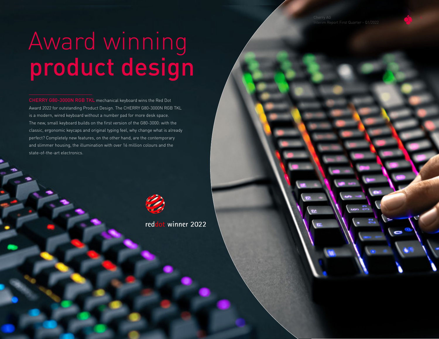# Award winning product design

CHERRY G80-3000N RGB TKL mechanical keyboard wins the Red Dot Award 2022 for outstanding Product Design. The CHERRY G80-3000N RGB TKL is a modern, wired keyboard without a number pad for more desk space. The new, small keyboard builds on the first version of the G80-3000: with the classic, ergonomic keycaps and original typing feel, why change what is already perfect? Completely new features, on the other hand, are the contemporary and slimmer housing, the illumination with over 16 million colours and the state-of-the-art electronics.



reddot winner 2022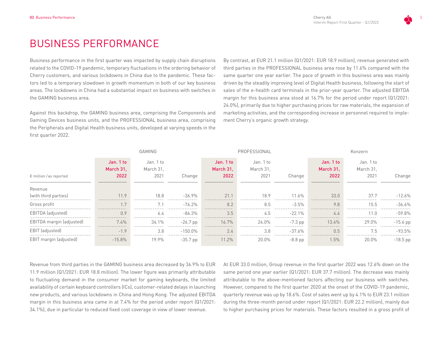## BUSINESS PERFORMANCE

Business performance in the first quarter was impacted by supply chain disruptions related to the COVID-19 pandemic, temporary fluctuations in the ordering behavior of Cherry customers, and various lockdowns in China due to the pandemic. These factors led to a temporary slowdown in growth momentum in both of our key business areas. The lockdowns in China had a substantial impact on business with switches in the GAMING business area.

Against this backdrop, the GAMING business area, comprising the Components and Gaming Devices business units, and the PROFESSIONAL business area, comprising the Peripherals and Digital Health business units, developed at varying speeds in the first quarter 2022.

By contrast, at EUR 21.1 million (Q1/2021: EUR 18.9 million), revenue generated with third parties in the PROFESSIONAL business area rose by 11.6% compared with the same quarter one year earlier. The pace of growth in this business area was mainly driven by the steadily improving level of Digital Health business, following the start of sales of the e-health card terminals in the prior-year quarter. The adjusted EBITDA margin for this business area stood at 16.7% for the period under report (Q1/2021: 24.0%), primarily due to higher purchasing prices for raw materials, the expansion of marketing activities, and the corresponding increase in personnel required to implement Cherry's organic growth strategy.

|                                | GAMING                         |            |                                |                                |              |                                | Konzern                        |            |
|--------------------------------|--------------------------------|------------|--------------------------------|--------------------------------|--------------|--------------------------------|--------------------------------|------------|
| Jan. 1 to<br>March 31,<br>2022 | Jan. 1 to<br>March 31.<br>2021 | Change     | Jan. 1 to<br>March 31,<br>2022 | Jan. 1 to<br>March 31,<br>2021 | Change       | Jan. 1 to<br>March 31,<br>2022 | Jan. 1 to<br>March 31.<br>2021 | Change     |
|                                |                                |            |                                |                                |              |                                |                                |            |
| 11.9                           | 18.8                           | $-36.9%$   | 21.1                           | 18.9                           | 11.6%        | 33.0                           | 37.7                           | $-12.6\%$  |
| 1.7                            |                                | $-76.2%$   | 8.2                            | 8.5                            | $-3.5%$      | 9.8                            | 15.5                           | $-36.6%$   |
| 0.9                            | 6.4                            | $-86.3%$   | 3.5                            | 4.5                            | $-22.1\%$    | 4.4                            | 11.0                           | $-59.8%$   |
| 7.4%                           | 34.1%                          | $-26.7$ pp | 16.7%                          | 24.0%                          | $-7.3$ pp    | 13.4%                          | 29.0%                          | $-15.6$ pp |
| $-1.9$                         | 3.8                            | $-150.0\%$ | 2.4                            | 3.8                            | $-37.6%$     | 0.5                            | 7.5                            | $-93.5%$   |
| $-15.8%$                       | 19.9%                          | $-35.7$ pp | 11.2%                          | 20.0%                          | $-8.8$ pp    | $1.5\%$                        | 20.0%                          | $-18.5$ pp |
|                                |                                |            |                                |                                | PROFESSIONAL |                                |                                |            |

Revenue from third parties in the GAMING business area decreased by 36.9% to EUR 11.9 million (Q1/2021: EUR 18.8 million). The lower figure was primarily attributable to fluctuating demand in the consumer market for gaming keyboards, the limited availability of certain keyboard controllers (ICs), customer-related delays in launching new products, and various lockdowns in China and Hong Kong. The adjusted EBITDA margin in this business area came in at 7.4% for the period under report (Q1/2021: 34.1%), due in particular to reduced fixed cost coverage in view of lower revenue.

At EUR 33.0 million, Group revenue in the first quarter 2022 was 12.6% down on the same period one year earlier (Q1/2021: EUR 37.7 million). The decrease was mainly attributable to the above-mentioned factors affecting our business with switches. However, compared to the first quarter 2020 at the onset of the COVID-19 pandemic, quarterly revenue was up by 18.6%. Cost of sales went up by 4.1% to EUR 23.1 million during the three-month period under report (Q1/2021: EUR 22.2 million), mainly due to higher purchasing prices for materials. These factors resulted in a gross profit of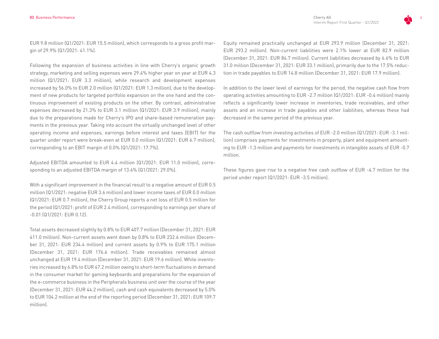EUR 9.8 million (Q1/2021: EUR 15.5 million), which corresponds to a gross profit margin of 29.9% (Q1/2021: 41.1%).

Following the expansion of business activities in line with Cherry's organic growth strategy, marketing and selling expenses were 29.4% higher year on year at EUR 4.3 million (Q1/2021: EUR 3.3 million), while research and development expenses increased by 56.0% to EUR 2.0 million (Q1/2021: EUR 1.3 million), due to the development of new products for targeted portfolio expansion on the one hand and the continuous improvement of existing products on the other. By contrast, administrative expenses decreased by 21.3% to EUR 3.1 million (Q1/2021: EUR 3.9 million), mainly due to the preparations made for Cherry's IPO and share-based remuneration payments in the previous year. Taking into account the virtually unchanged level of other operating income and expenses, earnings before interest and taxes (EBIT) for the quarter under report were break-even at EUR 0.0 million (Q1/2021: EUR 6.7 million), corresponding to an EBIT margin of 0.0% (Q1/2021: 17.7%).

Adjusted EBITDA amounted to EUR 4.4 million (Q1/2021: EUR 11.0 million), corresponding to an adjusted EBITDA margin of 13.4% (Q1/2021: 29.0%).

With a significant improvement in the financial result to a negative amount of EUR 0.5 million (Q1/2021: negative EUR 3.6 million) and lower income taxes of EUR 0.0 million (Q1/2021: EUR 0.7 million), the Cherry Group reports a net loss of EUR 0.5 million for the period (Q1/2021: profit of EUR 2.4 million), corresponding to earnings per share of -0.01 (Q1/2021: EUR 0.12).

Total assets decreased slightly by 0.8% to EUR 407.7 million (December 31, 2021: EUR 411.0 million). Non-current assets went down by 0.8% to EUR 232.6 million (December 31, 2021: EUR 234.4 million) and current assets by 0.9% to EUR 175.1 million (December 31, 2021: EUR 176.6 million). Trade receivables remained almost unchanged at EUR 19.4 million (December 31, 2021: EUR 19.6 million). While inventories increased by 6.8% to EUR 47.2 million owing to short-term fluctuations in demand in the consumer market for gaming keyboards and preparations for the expansion of the e-commerce business in the Peripherals business unit over the course of the year (December 31, 2021: EUR 44.2 million), cash and cash equivalents decreased by 5.0% to EUR 104.2 million at the end of the reporting period (December 31, 2021: EUR 109.7 million).

Equity remained practically unchanged at EUR 293.9 million (December 31, 2021: EUR 293.2 million). Non-current liabilities were 2.1% lower at EUR 82.9 million (December 31, 2021: EUR 84.7 million). Current liabilities decreased by 6.6% to EUR 31.0 million (December 31, 2021: EUR 33.1 million), primarily due to the 17.5% reduction in trade payables to EUR 14.8 million (December 31, 2021: EUR 17.9 million).

In addition to the lower level of earnings for the period, the negative cash flow from operating activities amounting to EUR -2.7 million (Q1/2021: EUR -0.4 million) mainly reflects a significantly lower increase in inventories, trade receivables, and other assets and an increase in trade payables and other liabilities, whereas these had decreased in the same period of the previous year.

The cash outflow from investing activities of EUR -2.0 million (Q1/2021: EUR -3.1 million) comprises payments for investments in property, plant and equipment amounting to EUR -1.3 million and payments for investments in intangible assets of EUR -0.7 million.

These figures gave rise to a negative free cash outflow of EUR -4.7 million for the period under report (Q1/2021: EUR -3.5 million).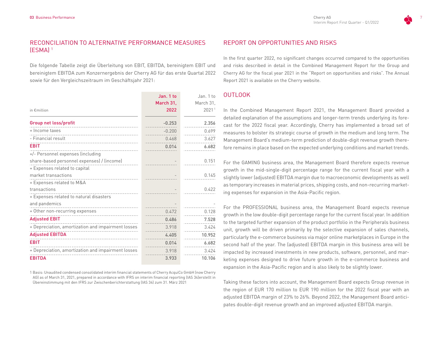#### RECONCILIATION TO ALTERNATIVE PERFORMANCE MEASURES (ESMA) 1

Die folgende Tabelle zeigt die Überleitung von EBIT, EBITDA, bereinigtem EBIT und bereinigtem EBITDA zum Konzernergebnis der Cherry AG für das erste Quartal 2022 sowie für den Vergleichszeitraum im Geschäftsjahr 2021:

|                                                    | Jan. 1 to | Jan. 1 to |
|----------------------------------------------------|-----------|-----------|
|                                                    | March 31, | March 31, |
| in €million                                        | 2022      | 20211     |
| Group net loss/profit                              | $-0.253$  | 2.356     |
| + Income taxes                                     | $-0.200$  | 0.699     |
| - Financial result                                 | 0.468     | 3.627     |
| <b>EBIT</b>                                        | 0.014     | 6.682     |
| +/- Personnel expenses (including                  |           |           |
| share-based personnel expenses) / (income)         |           | 0.151     |
| + Expenses related to capital                      |           |           |
| market transactions                                |           | 0.145     |
| + Expenses related to M&A                          |           |           |
| transactions                                       |           | 0.422     |
| + Expenses related to natural disasters            |           |           |
| and pandemics                                      |           |           |
| + Other non-recurring expenses                     | 0.472     | 0.128     |
| <b>Adjusted EBIT</b>                               | 0.486     | 7.528     |
| + Depreciation, amortization and impairment losses | 3.918     | 3.424     |
| <b>Adjusted EBITDA</b>                             | 4.405     | 10.952    |
| <b>EBIT</b>                                        | 0.014     | 6.682     |
| + Depreciation, amortization and impairment losses | 3.918     | 3.424     |
| <b>EBITDA</b>                                      | 3.933     | 10.106    |

1 Basis: Unaudited condensed consolidated interim financial statements of Cherry AcquiCo GmbH (now Cherry AG) as of March 31, 2021, prepared in accordance with IFRS on interim financial reporting (IAS 34)erstellt in Übereinstimmung mit den IFRS zur Zwischenberichterstattung (IAS 34) zum 31. März 2021

#### REPORT ON OPPORTUNITIES AND RISKS

In the first quarter 2022, no significant changes occurred compared to the opportunities and risks described in detail in the Combined Management Report for the Group and Cherry AG for the fiscal year 2021 in the "Report on opportunities and risks". The Annual Report 2021 is available on the Cherry website.

#### OUTLOOK

In the Combined Management Report 2021, the Management Board provided a detailed explanation of the assumptions and longer-term trends underlying its forecast for the 2022 fiscal year. Accordingly, Cherry has implemented a broad set of measures to bolster its strategic course of growth in the medium and long term. The Management Board's medium-term prediction of double-digit revenue growth therefore remains in place based on the expected underlying conditions and market trends.

For the GAMING business area, the Management Board therefore expects revenue growth in the mid-single-digit percentage range for the current fiscal year with a slightly lower (adjusted) EBITDA margin due to macroeconomic developments as well as temporary increases in material prices, shipping costs, and non-recurring marketing expenses for expansion in the Asia-Pacific region.

For the PROFESSIONAL business area, the Management Board expects revenue growth in the low double-digit percentage range for the current fiscal year. In addition to the targeted further expansion of the product portfolio in the Peripherals business unit, growth will be driven primarily by the selective expansion of sales channels, particularly the e-commerce business via major online marketplaces in Europe in the second half of the year. The (adjusted) EBITDA margin in this business area will be impacted by increased investments in new products, software, personnel, and marketing expenses designed to drive future growth in the e-commerce business and expansion in the Asia-Pacific region and is also likely to be slightly lower.

Taking these factors into account, the Management Board expects Group revenue in the region of EUR 170 million to EUR 190 million for the 2022 fiscal year with an adjusted EBITDA margin of 23% to 26%. Beyond 2022, the Management Board anticipates double-digit revenue growth and an improved adjusted EBITDA margin.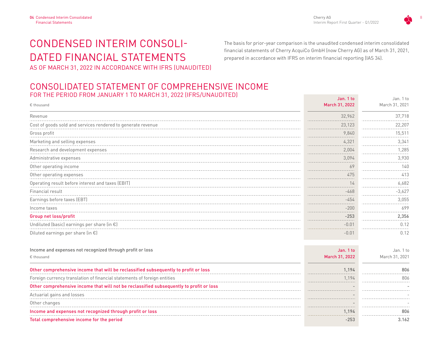Cherry AG 8 Interim Report First Quarter - Q1/2022

Jan. 1 to

## CONDENSED INTERIM CONSOLI-DATED FINANCIAL STATEMENTS AS OF MARCH 31, 2022 IN ACCORDANCE WITH IFRS (UNAUDITED)

The basis for prior-year comparison is the unaudited condensed interim consolidated financial statements of Cherry AcquiCo GmbH (now Cherry AG) as of March 31, 2021, prepared in accordance with IFRS on interim financial reporting (IAS 34).

### CONSOLIDATED STATEMENT OF COMPREHENSIVE INCOME FOR THE PERIOD FROM JANUARY 1 TO MARCH 31, 2022 (IFRS/UNAUDITED)

| € thousand                                                                              | March 31, 2022  | March 31, 2021 |
|-----------------------------------------------------------------------------------------|-----------------|----------------|
| Revenue                                                                                 | 32,962          | 37,718         |
| Cost of goods sold and services rendered to generate revenue                            | 23,123          | 22,207         |
| Gross profit                                                                            | 9,840           | 15,511         |
| Marketing and selling expenses                                                          | 4,321           | 3,341          |
| Research and development expenses                                                       | 2,004           | 1,285          |
| Administrative expenses                                                                 | 3,094           | 3,930          |
| Other operating income                                                                  | 69<br>$- - - -$ | 140            |
| Other operating expenses                                                                | 475             | 413            |
| Operating result before interest and taxes (EBIT)                                       | 14<br>------    | 6,682          |
| Financial result                                                                        | $-468$          | $-3,627$       |
| Earnings before taxes (EBT)                                                             | $-454$          | 3,055          |
| Income taxes                                                                            | $-200$          | 699            |
| Group net loss/profit                                                                   | $-253$          | 2,356          |
| Undiluted (basic) earnings per share (in €)                                             | $-0.01$         | 0.12           |
| Diluted earnings per share (in $\epsilon$ )                                             | $-0.01$         | 0.12           |
| Income and expenses not recognized through profit or loss                               | Jan. 1 to       | Jan. 1 to      |
| € thousand                                                                              | March 31, 2022  | March 31, 2021 |
| Other comprehensive income that will be reclassified subsequently to profit or loss     | 1.194           | 806            |
| Foreign currency translation of financial statements of foreign entities                | 1,194           | 806            |
| Other comprehensive income that will not be reclassified subsequently to profit or loss |                 |                |
| Actuarial gains and losses                                                              |                 |                |
| Other changes                                                                           |                 |                |
| Income and expenses not recognized through profit or loss                               | 1,194           | 806            |
| Total comprehensive income for the period                                               | $-253$          | 3.162          |

Jan. 1 to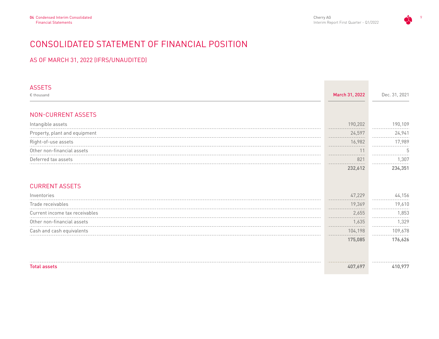

## CONSOLIDATED STATEMENT OF FINANCIAL POSITION

#### AS OF MARCH 31, 2022 (IFRS/UNAUDITED)

| <b>ASSETS</b>                  |                |               |
|--------------------------------|----------------|---------------|
| € thousand                     | March 31, 2022 | Dec. 31, 2021 |
|                                |                |               |
| NON-CURRENT ASSETS             |                |               |
| Intangible assets              | 190,202        | 190,109       |
| Property, plant and equipment  | 24,597         | 24,941        |
| Right-of-use assets            | 16,982<br>.    | 17,989        |
| Other non-financial assets     | 11             | 5             |
| Deferred tax assets            | 821            | 1,307         |
|                                | 232,612        | 234,351       |
|                                |                |               |
| <b>CURRENT ASSETS</b>          |                |               |
| Inventories                    | 47,229         | 44,156        |
| Trade receivables              | 19,369         | 19,610        |
| Current income tax receivables | 2,655          | 1,853         |
| Other non-financial assets     | 1.635          | 1,329         |
| Cash and cash equivalents      | 104,198        | 109,678       |
|                                | 175,085        | 176,626       |
|                                |                |               |
|                                |                |               |
| <b>Total assets</b>            | 407,697        | 410,977       |
|                                |                |               |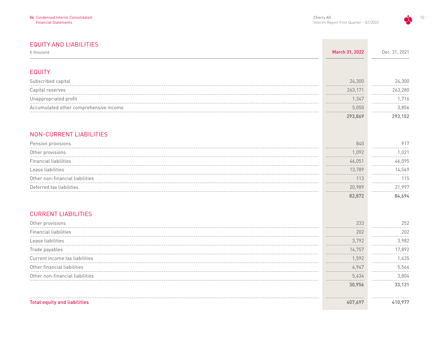#### EQUITY AND LIABILITIES

| $\epsilon$ thousand                    | March 31, 2022 | Dec. 31, 2021 |
|----------------------------------------|----------------|---------------|
|                                        |                |               |
| <b>EQUITY</b>                          |                |               |
| Subscribed capital                     | 24,300         | 24,300        |
| Capital reserves                       | 263,171        | 263,280       |
| Unappropriated profit                  | 1,347          | 1,716         |
| Accumulated other comprehensive income | 5,050          | 3,856         |
|                                        | 293,869        | 293,152       |
| NON-CURRENT LIABILITIES                |                |               |
| Pension provisions                     | 840            | 917           |
| Other provisions                       | 1,092          | 1,021         |
| <b>Financial liabilities</b>           | 46,051         | 46,095        |
| Lease liabilities                      | 13,789         | 14,549        |
| Other non-financial liabilities        | 113            | 115           |
| Deferred tax liabilities               | 20,989         | 21,997        |
|                                        | 82,872         | 84,694        |
| <b>CURRENT LIABILITIES</b>             |                |               |
| Other provisions                       | 233            | 252           |
| <b>Financial liabilities</b>           | 202            | 202           |
| Lease liabilities                      | 3,792          | 3,982         |
| Trade payables                         | 14,757         | 17,892        |
| Current income tax liabilities         | 1,592          | 1,435         |
| Other financial liabilities            | 4,947          | 5,564         |
| Other non-financial liabilities        | 5,434          | 3,804         |
|                                        | 30,956         | 33,131        |
| <b>Total equity and liabilities</b>    | 407,697        | 410,977       |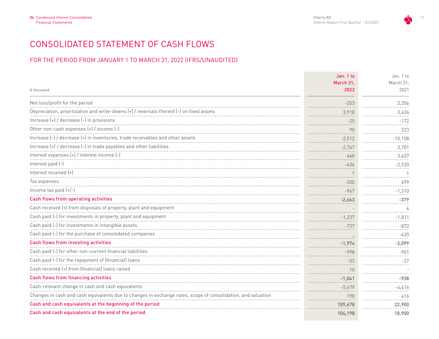## CONSOLIDATED STATEMENT OF CASH FLOWS

#### FOR THE PERIOD FROM JANUARY 1 TO MARCH 31, 2022 (IFRS/UNAUDITED)

|                                                                                                              | Jan. 1 to | Jan. 1 to |
|--------------------------------------------------------------------------------------------------------------|-----------|-----------|
|                                                                                                              | March 31. | March 31. |
| € thousand                                                                                                   | 2022      | 2021      |
| Net loss/profit for the period                                                                               | $-253$    | 2,356     |
| Depreciation, amortization and write-downs (+) / reversals thereof (-) on fixed assets                       | 3,918     | 3,424     |
| Increase (+) / decrease (-) in provisions                                                                    | $-25$     | $-172$    |
| Other non-cash expenses (+) / income (-)                                                                     | 90        | 323       |
| Increase (-) / decrease (+) in inventories, trade receivables and other assets                               | $-2,512$  | $-10,108$ |
| Increase (+) / decrease (-) in trade payables and other liabilities                                          | $-2,747$  | 3,701     |
| Interest expenses (+) / interest income (-)                                                                  | 468       | 3,627     |
| Interest paid (-)                                                                                            | $-436$    | $-2,920$  |
| Interest received [+]                                                                                        |           |           |
| Tax expenses                                                                                                 | $-200$    | 699       |
| Income tax paid (+/-)                                                                                        | $-967$    | $-1,310$  |
| Cash flows from operating activities                                                                         | $-2,663$  | $-379$    |
| Cash received (+) from disposals of property, plant and equipment                                            |           | 4         |
| Cash paid (-) for investments in property, plant and equipment                                               | $-1,237$  | $-1,811$  |
| Cash paid (-) for investments in intangible assets                                                           | $-737$    | $-872$    |
| Cash paid (-) for the purchase of consolidated companies                                                     |           | $-420$    |
| Cash flows from investing activities                                                                         | $-1,974$  | $-3,099$  |
| Cash paid (-) for other non-current financial liabilities                                                    | $-998$    | $-901$    |
| Cash paid (-) for the repayment of (financial) loans                                                         | $-53$     | $-37$     |
| Cash received (+) from (financial) loans raised                                                              | 10        |           |
| Cash flows from financing activities                                                                         | $-1,041$  | $-938$    |
| Cash-relevant change in cash and cash equivalents                                                            | $-5,679$  | $-4,416$  |
| Changes in cash and cash equivalents due to changes in exchange rates, scope of consolidation, and valuation | 198       | 416       |
| Cash and cash equivalents at the beginning of the period                                                     | 109,678   | 22,900    |
| Cash and cash equivalents at the end of the period                                                           | 104,198   | 18,900    |